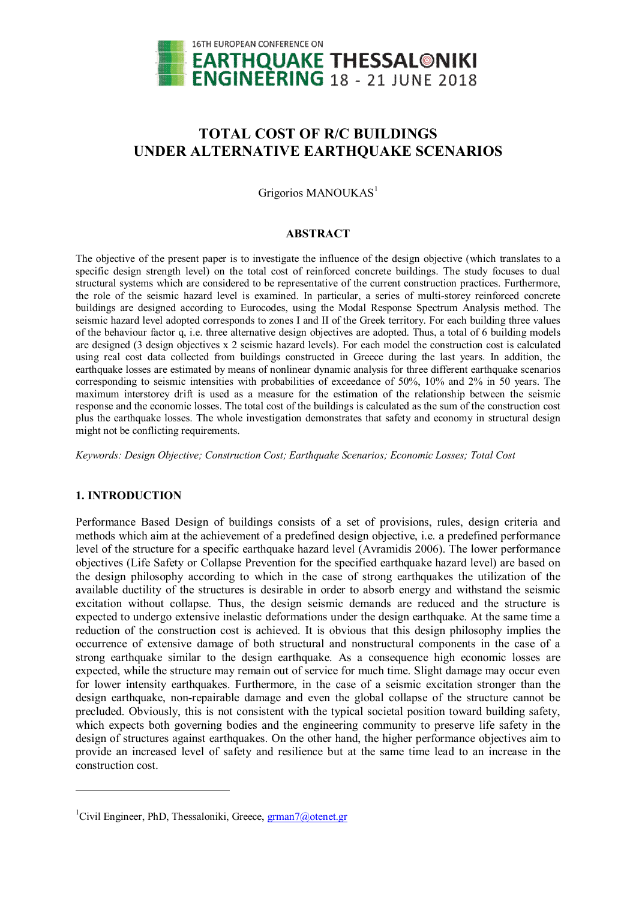

# **TOTAL COST OF R/C BUILDINGS UNDER ALTERNATIVE EARTHQUAKE SCENARIOS**

Grigorios MANOUKAS<sup>1</sup>

## **ABSTRACT**

The objective of the present paper is to investigate the influence of the design objective (which translates to a specific design strength level) on the total cost of reinforced concrete buildings. The study focuses to dual structural systems which are considered to be representative of the current construction practices. Furthermore, the role of the seismic hazard level is examined. In particular, a series of multi-storey reinforced concrete buildings are designed according to Eurocodes, using the Modal Response Spectrum Analysis method. The seismic hazard level adopted corresponds to zones I and II of the Greek territory. For each building three values of the behaviour factor q, i.e. three alternative design objectives are adopted. Thus, a total of 6 building models are designed (3 design objectives x 2 seismic hazard levels). For each model the construction cost is calculated using real cost data collected from buildings constructed in Greece during the last years. In addition, the earthquake losses are estimated by means of nonlinear dynamic analysis for three different earthquake scenarios corresponding to seismic intensities with probabilities of exceedance of 50%, 10% and 2% in 50 years. The maximum interstorey drift is used as a measure for the estimation of the relationship between the seismic response and the economic losses. The total cost of the buildings is calculated as the sum of the construction cost plus the earthquake losses. The whole investigation demonstrates that safety and economy in structural design might not be conflicting requirements.

*Keywords: Design Objective; Construction Cost; Earthquake Scenarios; Economic Losses; Total Cost*

## **1. INTRODUCTION**

 $\ddot{ }$ 

Performance Based Design of buildings consists of a set of provisions, rules, design criteria and methods which aim at the achievement of a predefined design objective, i.e. a predefined performance level of the structure for a specific earthquake hazard level (Avramidis 2006). The lower performance objectives (Life Safety or Collapse Prevention for the specified earthquake hazard level) are based on the design philosophy according to which in the case of strong earthquakes the utilization of the available ductility of the structures is desirable in order to absorb energy and withstand the seismic excitation without collapse. Thus, the design seismic demands are reduced and the structure is expected to undergo extensive inelastic deformations under the design earthquake. At the same time a reduction of the construction cost is achieved. It is obvious that this design philosophy implies the occurrence of extensive damage of both structural and nonstructural components in the case of a strong earthquake similar to the design earthquake. As a consequence high economic losses are expected, while the structure may remain out of service for much time. Slight damage may occur even for lower intensity earthquakes. Furthermore, in the case of a seismic excitation stronger than the design earthquake, non-repairable damage and even the global collapse of the structure cannot be precluded. Obviously, this is not consistent with the typical societal position toward building safety, which expects both governing bodies and the engineering community to preserve life safety in the design of structures against earthquakes. On the other hand, the higher performance objectives aim to provide an increased level of safety and resilience but at the same time lead to an increase in the construction cost.

<sup>&</sup>lt;sup>1</sup>Civil Engineer, PhD, Thessaloniki, Greece,  $\frac{gram7@\text{otenet.gr}}{$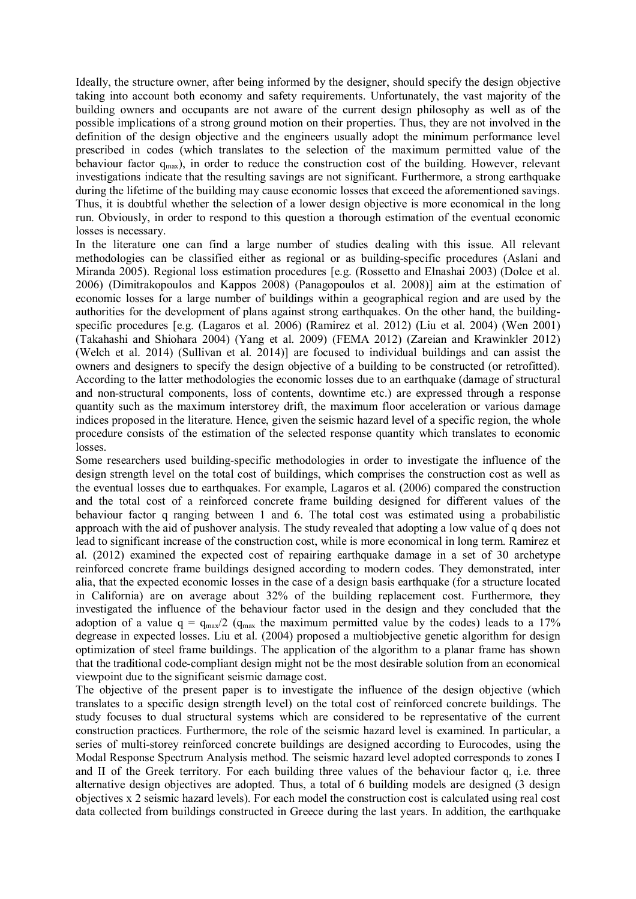Ideally, the structure owner, after being informed by the designer, should specify the design objective taking into account both economy and safety requirements. Unfortunately, the vast majority of the building owners and occupants are not aware of the current design philosophy as well as of the possible implications of a strong ground motion on their properties. Thus, they are not involved in the definition of the design objective and the engineers usually adopt the minimum performance level prescribed in codes (which translates to the selection of the maximum permitted value of the behaviour factor  $q_{max}$ ), in order to reduce the construction cost of the building. However, relevant investigations indicate that the resulting savings are not significant. Furthermore, a strong earthquake during the lifetime of the building may cause economic losses that exceed the aforementioned savings. Thus, it is doubtful whether the selection of a lower design objective is more economical in the long run. Obviously, in order to respond to this question a thorough estimation of the eventual economic losses is necessary.

In the literature one can find a large number of studies dealing with this issue. All relevant methodologies can be classified either as regional or as building-specific procedures (Aslani and Miranda 2005). Regional loss estimation procedures [e.g. (Rossetto and Elnashai 2003) (Dolce et al. 2006) (Dimitrakopoulos and Kappos 2008) (Panagopoulos et al. 2008)] aim at the estimation of economic losses for a large number of buildings within a geographical region and are used by the authorities for the development of plans against strong earthquakes. On the other hand, the buildingspecific procedures [e.g. (Lagaros et al. 2006) (Ramirez et al. 2012) (Liu et al. 2004) (Wen 2001) (Takahashi and Shiohara 2004) (Yang et al. 2009) (FEMA 2012) (Zareian and Krawinkler 2012) (Welch et al. 2014) (Sullivan et al. 2014)] are focused to individual buildings and can assist the owners and designers to specify the design objective of a building to be constructed (or retrofitted). According to the latter methodologies the economic losses due to an earthquake (damage of structural and non-structural components, loss of contents, downtime etc.) are expressed through a response quantity such as the maximum interstorey drift, the maximum floor acceleration or various damage indices proposed in the literature. Hence, given the seismic hazard level of a specific region, the whole procedure consists of the estimation of the selected response quantity which translates to economic losses.

Some researchers used building-specific methodologies in order to investigate the influence of the design strength level on the total cost of buildings, which comprises the construction cost as well as the eventual losses due to earthquakes. For example, Lagaros et al. (2006) compared the construction and the total cost of a reinforced concrete frame building designed for different values of the behaviour factor q ranging between 1 and 6. The total cost was estimated using a probabilistic approach with the aid of pushover analysis. The study revealed that adopting a low value of q does not lead to significant increase of the construction cost, while is more economical in long term. Ramirez et al. (2012) examined the expected cost of repairing earthquake damage in a set of 30 archetype reinforced concrete frame buildings designed according to modern codes. They demonstrated, inter alia, that the expected economic losses in the case of a design basis earthquake (for a structure located in California) are on average about 32% of the building replacement cost. Furthermore, they investigated the influence of the behaviour factor used in the design and they concluded that the adoption of a value  $q = q_{max}/2$  ( $q_{max}$  the maximum permitted value by the codes) leads to a 17% degrease in expected losses. Liu et al. (2004) proposed a multiobjective genetic algorithm for design optimization of steel frame buildings. The application of the algorithm to a planar frame has shown that the traditional code-compliant design might not be the most desirable solution from an economical viewpoint due to the significant seismic damage cost.

The objective of the present paper is to investigate the influence of the design objective (which translates to a specific design strength level) on the total cost of reinforced concrete buildings. The study focuses to dual structural systems which are considered to be representative of the current construction practices. Furthermore, the role of the seismic hazard level is examined. In particular, a series of multi-storey reinforced concrete buildings are designed according to Eurocodes, using the Modal Response Spectrum Analysis method. The seismic hazard level adopted corresponds to zones I and II of the Greek territory. For each building three values of the behaviour factor q, i.e. three alternative design objectives are adopted. Thus, a total of 6 building models are designed (3 design objectives x 2 seismic hazard levels). For each model the construction cost is calculated using real cost data collected from buildings constructed in Greece during the last years. In addition, the earthquake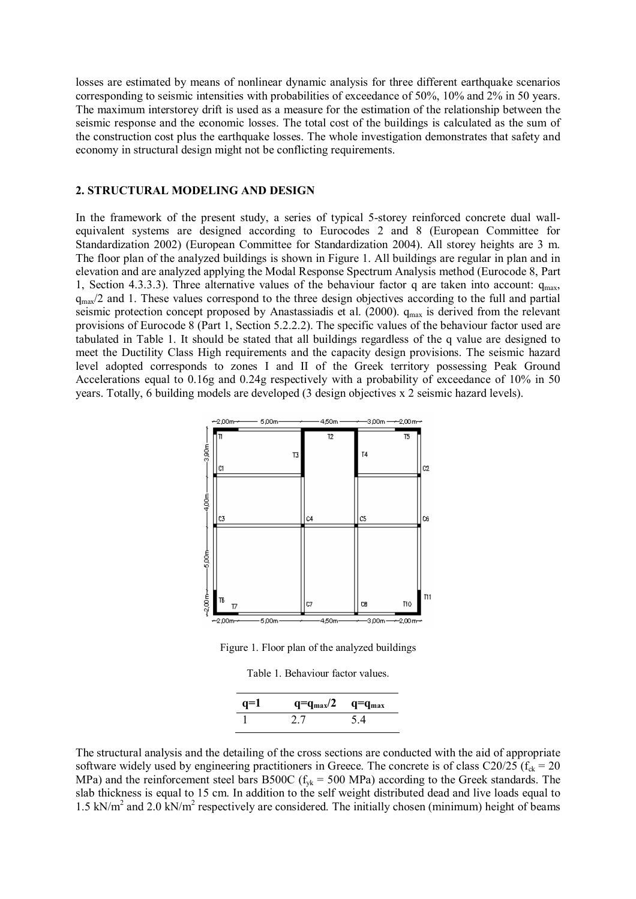losses are estimated by means of nonlinear dynamic analysis for three different earthquake scenarios corresponding to seismic intensities with probabilities of exceedance of 50%, 10% and 2% in 50 years. The maximum interstorey drift is used as a measure for the estimation of the relationship between the seismic response and the economic losses. The total cost of the buildings is calculated as the sum of the construction cost plus the earthquake losses. The whole investigation demonstrates that safety and economy in structural design might not be conflicting requirements.

#### **2. STRUCTURAL MODELING AND DESIGN**

In the framework of the present study, a series of typical 5-storey reinforced concrete dual wallequivalent systems are designed according to Eurocodes 2 and 8 (European Committee for Standardization 2002) (European Committee for Standardization 2004). All storey heights are 3 m. The floor plan of the analyzed buildings is shown in Figure 1. All buildings are regular in plan and in elevation and are analyzed applying the Modal Response Spectrum Analysis method (Eurocode 8, Part 1, Section 4.3.3.3). Three alternative values of the behaviour factor q are taken into account:  $q_{max}$ ,  $q_{\text{max}}/2$  and 1. These values correspond to the three design objectives according to the full and partial seismic protection concept proposed by Anastassiadis et al. (2000).  $q_{max}$  is derived from the relevant provisions of Eurocode 8 (Part 1, Section 5.2.2.2). The specific values of the behaviour factor used are tabulated in Table 1. It should be stated that all buildings regardless of the q value are designed to meet the Ductility Class High requirements and the capacity design provisions. The seismic hazard level adopted corresponds to zones I and II of the Greek territory possessing Peak Ground Accelerations equal to 0.16g and 0.24g respectively with a probability of exceedance of 10% in 50 years. Totally, 6 building models are developed (3 design objectives x 2 seismic hazard levels).



Figure 1. Floor plan of the analyzed buildings

|  | Table 1. Behaviour factor values. |  |  |
|--|-----------------------------------|--|--|
|--|-----------------------------------|--|--|

| $q=1$ | $q = q_{max}/2$ | $q = q_{max}$ |  |
|-------|-----------------|---------------|--|
|       | 2.7             | 5.4           |  |

The structural analysis and the detailing of the cross sections are conducted with the aid of appropriate software widely used by engineering practitioners in Greece. The concrete is of class C20/25 ( $f_{ck}$  = 20 MPa) and the reinforcement steel bars B500C ( $f_{yk}$  = 500 MPa) according to the Greek standards. The slab thickness is equal to 15 cm. In addition to the self weight distributed dead and live loads equal to 1.5 kN/m<sup>2</sup> and 2.0 kN/m<sup>2</sup> respectively are considered. The initially chosen (minimum) height of beams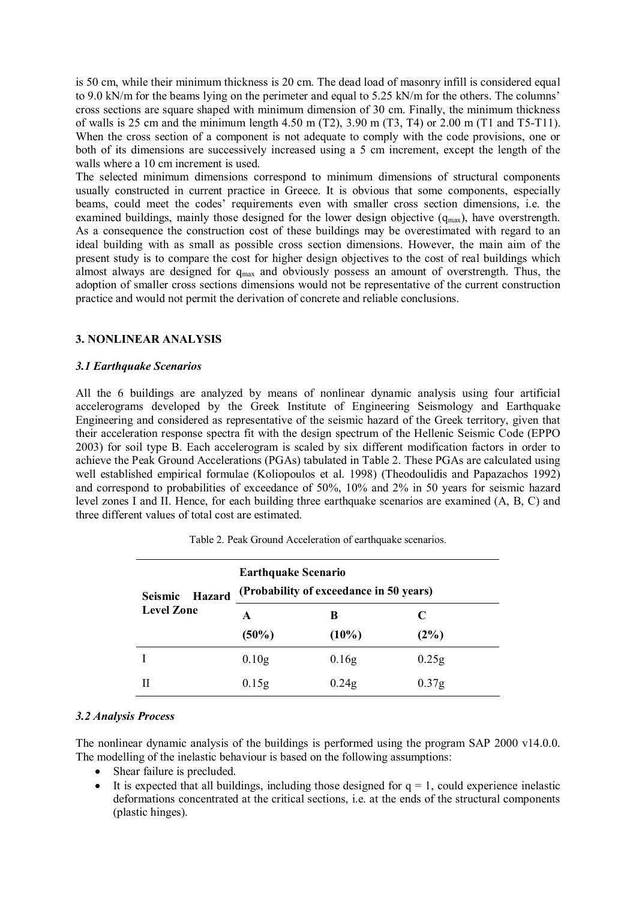is 50 cm, while their minimum thickness is 20 cm. The dead load of masonry infill is considered equal to 9.0 kN/m for the beams lying on the perimeter and equal to 5.25 kN/m for the others. The columns' cross sections are square shaped with minimum dimension of 30 cm. Finally, the minimum thickness of walls is 25 cm and the minimum length 4.50 m (T2), 3.90 m (T3, T4) or 2.00 m (T1 and T5-T11). When the cross section of a component is not adequate to comply with the code provisions, one or both of its dimensions are successively increased using a 5 cm increment, except the length of the walls where a 10 cm increment is used.

The selected minimum dimensions correspond to minimum dimensions of structural components usually constructed in current practice in Greece. It is obvious that some components, especially beams, could meet the codes' requirements even with smaller cross section dimensions, i.e. the examined buildings, mainly those designed for the lower design objective  $(q_{max})$ , have overstrength. As a consequence the construction cost of these buildings may be overestimated with regard to an ideal building with as small as possible cross section dimensions. However, the main aim of the present study is to compare the cost for higher design objectives to the cost of real buildings which almost always are designed for  $q_{max}$  and obviously possess an amount of overstrength. Thus, the adoption of smaller cross sections dimensions would not be representative of the current construction practice and would not permit the derivation of concrete and reliable conclusions.

## **3. NONLINEAR ANALYSIS**

## *3.1 Earthquake Scenarios*

All the 6 buildings are analyzed by means of nonlinear dynamic analysis using four artificial accelerograms developed by the Greek Institute of Engineering Seismology and Earthquake Engineering and considered as representative of the seismic hazard of the Greek territory, given that their acceleration response spectra fit with the design spectrum of the Hellenic Seismic Code (EPPO 2003) for soil type B. Each accelerogram is scaled by six different modification factors in order to achieve the Peak Ground Accelerations (PGAs) tabulated in Table 2. These PGAs are calculated using well established empirical formulae (Koliopoulos et al. 1998) (Theodoulidis and Papazachos 1992) and correspond to probabilities of exceedance of 50%, 10% and 2% in 50 years for seismic hazard level zones I and II. Hence, for each building three earthquake scenarios are examined (A, B, C) and three different values of total cost are estimated.

| <b>Hazard</b>     | <b>Earthquake Scenario</b>              |          |                   |
|-------------------|-----------------------------------------|----------|-------------------|
| <b>Seismic</b>    | (Probability of exceedance in 50 years) |          |                   |
| <b>Level Zone</b> | A                                       | B        | C                 |
|                   | $(50\%)$                                | $(10\%)$ | (2%)              |
|                   | 0.10 <sub>g</sub>                       | 0.16g    | 0.25g             |
|                   | 0.15g                                   | 0.24g    | 0.37 <sub>g</sub> |

Table 2. Peak Ground Acceleration of earthquake scenarios.

## *3.2 Analysis Process*

The nonlinear dynamic analysis of the buildings is performed using the program SAP 2000 v14.0.0. The modelling of the inelastic behaviour is based on the following assumptions:

- Shear failure is precluded.
- It is expected that all buildings, including those designed for  $q = 1$ , could experience inelastic deformations concentrated at the critical sections, i.e. at the ends of the structural components (plastic hinges).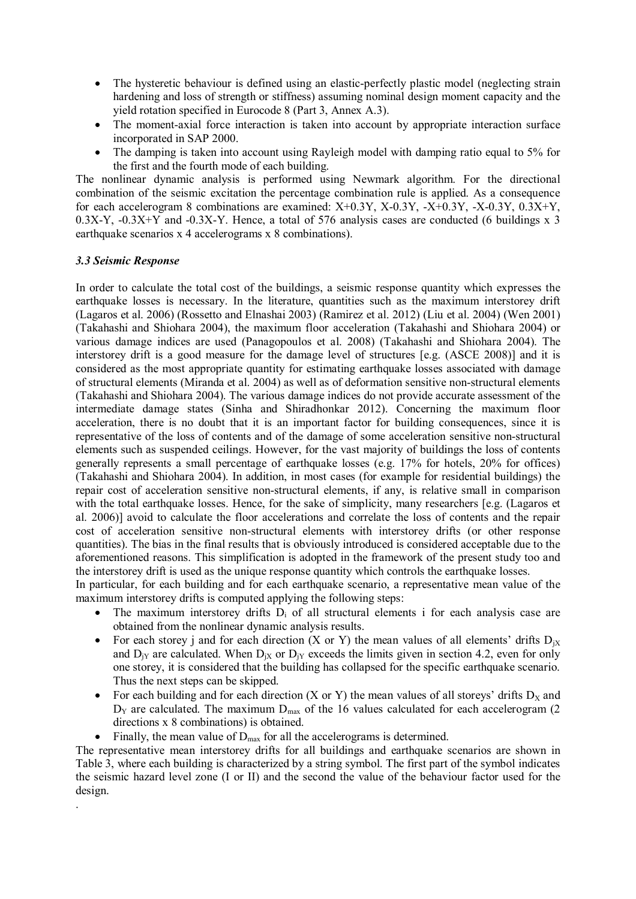- The hysteretic behaviour is defined using an elastic-perfectly plastic model (neglecting strain hardening and loss of strength or stiffness) assuming nominal design moment capacity and the yield rotation specified in Eurocode 8 (Part 3, Annex A.3).
- The moment-axial force interaction is taken into account by appropriate interaction surface incorporated in SAP 2000.
- The damping is taken into account using Rayleigh model with damping ratio equal to 5% for the first and the fourth mode of each building.

The nonlinear dynamic analysis is performed using Newmark algorithm. For the directional combination of the seismic excitation the percentage combination rule is applied. As a consequence for each accelerogram 8 combinations are examined:  $X+0.3Y$ ,  $X-0.3Y$ ,  $-X+0.3Y$ ,  $-X-0.3Y$ ,  $0.3X+Y$ ,  $0.3X-Y$ ,  $-0.3X+Y$  and  $-0.3X-Y$ . Hence, a total of 576 analysis cases are conducted (6 buildings x 3) earthquake scenarios x 4 accelerograms x 8 combinations).

## *3.3 Seismic Response*

.

In order to calculate the total cost of the buildings, a seismic response quantity which expresses the earthquake losses is necessary. In the literature, quantities such as the maximum interstorey drift (Lagaros et al. 2006) (Rossetto and Elnashai 2003) (Ramirez et al. 2012) (Liu et al. 2004) (Wen 2001) (Takahashi and Shiohara 2004), the maximum floor acceleration (Takahashi and Shiohara 2004) or various damage indices are used (Panagopoulos et al. 2008) (Takahashi and Shiohara 2004). The interstorey drift is a good measure for the damage level of structures [e.g. (ASCE 2008)] and it is considered as the most appropriate quantity for estimating earthquake losses associated with damage of structural elements (Miranda et al. 2004) as well as of deformation sensitive non-structural elements (Takahashi and Shiohara 2004). The various damage indices do not provide accurate assessment of the intermediate damage states (Sinha and Shiradhonkar 2012). Concerning the maximum floor acceleration, there is no doubt that it is an important factor for building consequences, since it is representative of the loss of contents and of the damage of some acceleration sensitive non-structural elements such as suspended ceilings. However, for the vast majority of buildings the loss of contents generally represents a small percentage of earthquake losses (e.g.  $17\%$  for hotels,  $20\%$  for offices) (Takahashi and Shiohara 2004). In addition, in most cases (for example for residential buildings) the repair cost of acceleration sensitive non-structural elements, if any, is relative small in comparison with the total earthquake losses. Hence, for the sake of simplicity, many researchers [e.g. (Lagaros et al. 2006)] avoid to calculate the floor accelerations and correlate the loss of contents and the repair cost of acceleration sensitive non-structural elements with interstorey drifts (or other response quantities). The bias in the final results that is obviously introduced is considered acceptable due to the aforementioned reasons. This simplification is adopted in the framework of the present study too and the interstorey drift is used as the unique response quantity which controls the earthquake losses.

In particular, for each building and for each earthquake scenario, a representative mean value of the maximum interstorey drifts is computed applying the following steps:

- The maximum interstorey drifts  $D_i$  of all structural elements i for each analysis case are obtained from the nonlinear dynamic analysis results.
- For each storey j and for each direction  $(X \text{ or } Y)$  the mean values of all elements' drifts  $D_{iX}$ and  $D_{iY}$  are calculated. When  $D_{iX}$  or  $D_{iY}$  exceeds the limits given in section 4.2, even for only one storey, it is considered that the building has collapsed for the specific earthquake scenario. Thus the next steps can be skipped.
- For each building and for each direction  $(X \text{ or } Y)$  the mean values of all storeys' drifts  $D_X$  and  $D_y$  are calculated. The maximum  $D_{\text{max}}$  of the 16 values calculated for each accelerogram (2) directions x 8 combinations) is obtained.
- Finally, the mean value of  $D_{\text{max}}$  for all the accelerograms is determined.

The representative mean interstorey drifts for all buildings and earthquake scenarios are shown in Table 3, where each building is characterized by a string symbol. The first part of the symbol indicates the seismic hazard level zone (I or II) and the second the value of the behaviour factor used for the design.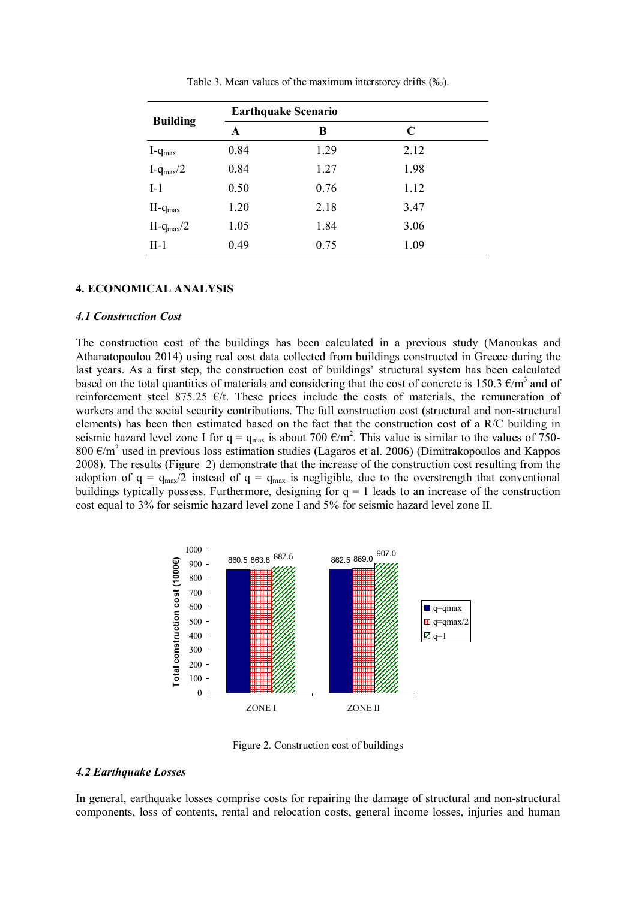|                  | <b>Earthquake Scenario</b> |      |      |  |
|------------------|----------------------------|------|------|--|
| <b>Building</b>  | A                          | В    | C    |  |
| $I-q_{max}$      | 0.84                       | 1.29 | 2.12 |  |
| $I-q_{max}/2$    | 0.84                       | 1.27 | 1.98 |  |
| $I-1$            | 0.50                       | 0.76 | 1.12 |  |
| $II$ - $q_{max}$ | 1.20                       | 2.18 | 3.47 |  |
| $II-q_{max}/2$   | 1.05                       | 1.84 | 3.06 |  |
| $II-1$           | 0.49                       | 0.75 | 1.09 |  |

Table 3. Mean values of the maximum interstorey drifts (‰).

## **4. ECONOMICAL ANALYSIS**

#### *4.1 Construction Cost*

The construction cost of the buildings has been calculated in a previous study (Manoukas and Athanatopoulou 2014) using real cost data collected from buildings constructed in Greece during the last years. As a first step, the construction cost of buildings' structural system has been calculated based on the total quantities of materials and considering that the cost of concrete is 150.3  $\epsilon/m^3$  and of reinforcement steel 875.25  $E/t$ . These prices include the costs of materials, the remuneration of workers and the social security contributions. The full construction cost (structural and non-structural elements) has been then estimated based on the fact that the construction cost of a R/C building in seismic hazard level zone I for  $q = q_{max}$  is about 700  $\epsilon/m^2$ . This value is similar to the values of 750-800  $\epsilon/m^2$  used in previous loss estimation studies (Lagaros et al. 2006) (Dimitrakopoulos and Kappos 2008). The results (Figure 2) demonstrate that the increase of the construction cost resulting from the adoption of  $q = q_{max}/2$  instead of  $q = q_{max}$  is negligible, due to the overstrength that conventional buildings typically possess. Furthermore, designing for  $q = 1$  leads to an increase of the construction cost equal to 3% for seismic hazard level zone I and 5% for seismic hazard level zone II.



Figure 2. Construction cost of buildings

## *4.2 Earthquake Losses*

In general, earthquake losses comprise costs for repairing the damage of structural and non-structural components, loss of contents, rental and relocation costs, general income losses, injuries and human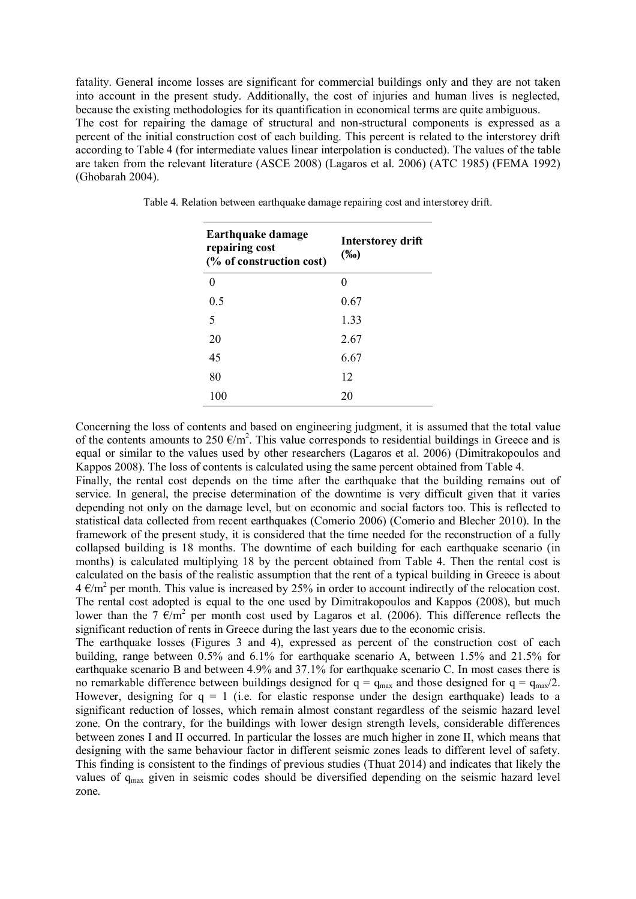fatality. General income losses are significant for commercial buildings only and they are not taken into account in the present study. Additionally, the cost of injuries and human lives is neglected, because the existing methodologies for its quantification in economical terms are quite ambiguous. The cost for repairing the damage of structural and non-structural components is expressed as a percent of the initial construction cost of each building. This percent is related to the interstorey drift according to Table 4 (for intermediate values linear interpolation is conducted). The values of the table are taken from the relevant literature (ASCE 2008) (Lagaros et al. 2006) (ATC 1985) (FEMA 1992) (Ghobarah 2004).

| <b>Earthquake damage</b><br>repairing cost<br>(% of construction cost) | <b>Interstorey drift</b><br>$(\%0)$ |  |
|------------------------------------------------------------------------|-------------------------------------|--|
| 0                                                                      |                                     |  |
| 0.5                                                                    | 0.67                                |  |
| 5                                                                      | 1.33                                |  |
| 20                                                                     | 2.67                                |  |
| 45                                                                     | 6.67                                |  |
| 80                                                                     | 12                                  |  |
| 100                                                                    | 20                                  |  |

Table 4. Relation between earthquake damage repairing cost and interstorey drift.

Concerning the loss of contents and based on engineering judgment, it is assumed that the total value of the contents amounts to 250  $\epsilon/m^2$ . This value corresponds to residential buildings in Greece and is equal or similar to the values used by other researchers (Lagaros et al. 2006) (Dimitrakopoulos and Kappos 2008). The loss of contents is calculated using the same percent obtained from Table 4.

Finally, the rental cost depends on the time after the earthquake that the building remains out of service. In general, the precise determination of the downtime is very difficult given that it varies depending not only on the damage level, but on economic and social factors too. This is reflected to statistical data collected from recent earthquakes (Comerio 2006) (Comerio and Blecher 2010). In the framework of the present study, it is considered that the time needed for the reconstruction of a fully collapsed building is 18 months. The downtime of each building for each earthquake scenario (in months) is calculated multiplying 18 by the percent obtained from Table 4. Then the rental cost is calculated on the basis of the realistic assumption that the rent of a typical building in Greece is about  $4 \text{ } \epsilon/\text{m}^2$  per month. This value is increased by 25% in order to account indirectly of the relocation cost. The rental cost adopted is equal to the one used by Dimitrakopoulos and Kappos (2008), but much lower than the 7  $\epsilon/m^2$  per month cost used by Lagaros et al. (2006). This difference reflects the significant reduction of rents in Greece during the last years due to the economic crisis.

The earthquake losses (Figures 3 and 4), expressed as percent of the construction cost of each building, range between 0.5% and 6.1% for earthquake scenario A, between 1.5% and 21.5% for earthquake scenario B and between 4.9% and 37.1% for earthquake scenario C. In most cases there is no remarkable difference between buildings designed for  $q = q_{max}$  and those designed for  $q = q_{max}/2$ . However, designing for  $q = 1$  (i.e. for elastic response under the design earthquake) leads to a significant reduction of losses, which remain almost constant regardless of the seismic hazard level zone. On the contrary, for the buildings with lower design strength levels, considerable differences between zones I and II occurred. In particular the losses are much higher in zone II, which means that designing with the same behaviour factor in different seismic zones leads to different level of safety. This finding is consistent to the findings of previous studies (Thuat 2014) and indicates that likely the values of qmax given in seismic codes should be diversified depending on the seismic hazard level zone.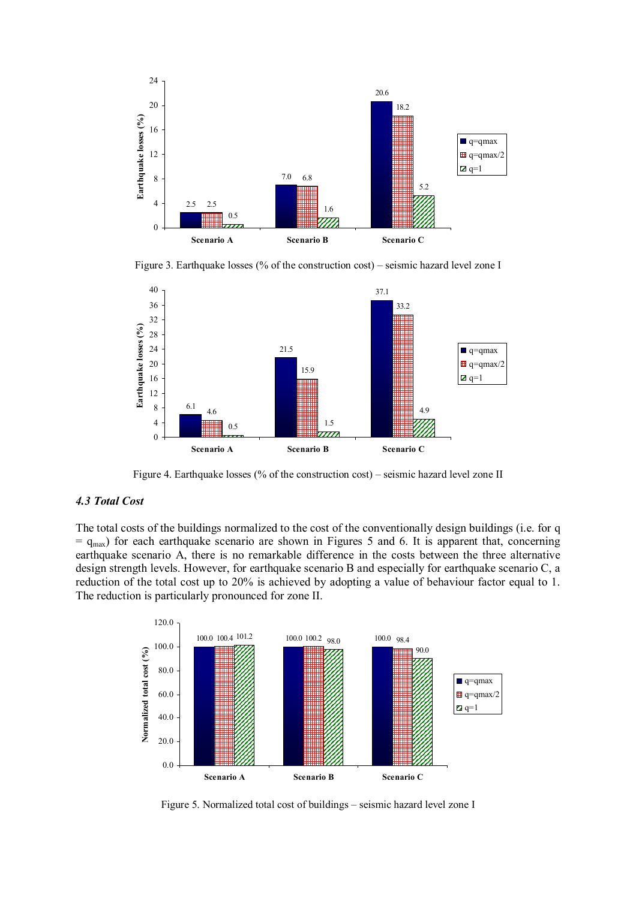

Figure 3. Earthquake losses (% of the construction cost) – seismic hazard level zone I



Figure 4. Earthquake losses (% of the construction cost) – seismic hazard level zone II

## *4.3 Total Cost*

The total costs of the buildings normalized to the cost of the conventionally design buildings (i.e. for q  $=$  q<sub>max</sub>) for each earthquake scenario are shown in Figures 5 and 6. It is apparent that, concerning earthquake scenario A, there is no remarkable difference in the costs between the three alternative design strength levels. However, for earthquake scenario B and especially for earthquake scenario C, a reduction of the total cost up to 20% is achieved by adopting a value of behaviour factor equal to 1. The reduction is particularly pronounced for zone II.



Figure 5. Normalized total cost of buildings – seismic hazard level zone I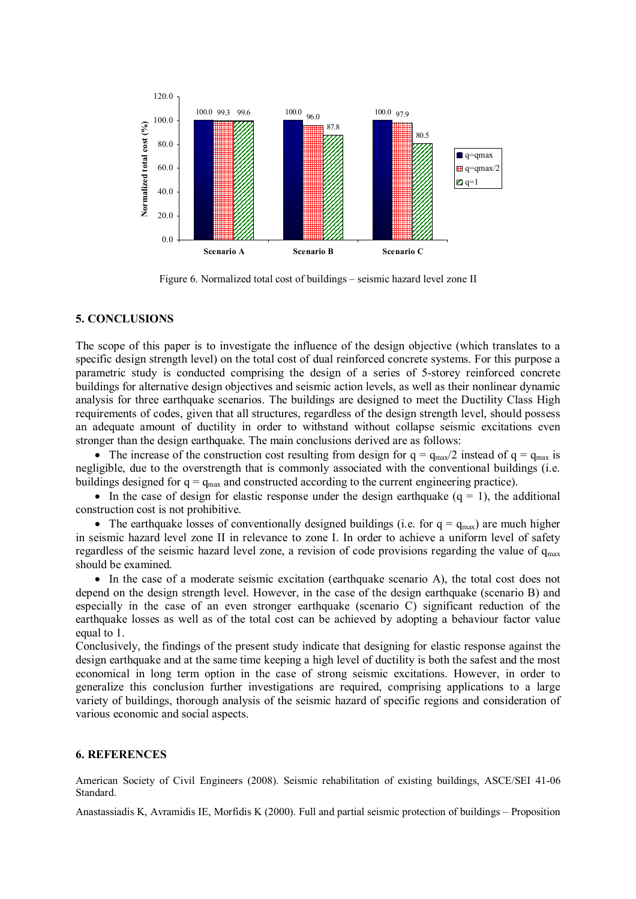

Figure 6. Normalized total cost of buildings – seismic hazard level zone II

## **5. CONCLUSIONS**

The scope of this paper is to investigate the influence of the design objective (which translates to a specific design strength level) on the total cost of dual reinforced concrete systems. For this purpose a parametric study is conducted comprising the design of a series of 5-storey reinforced concrete buildings for alternative design objectives and seismic action levels, as well as their nonlinear dynamic analysis for three earthquake scenarios. The buildings are designed to meet the Ductility Class High requirements of codes, given that all structures, regardless of the design strength level, should possess an adequate amount of ductility in order to withstand without collapse seismic excitations even stronger than the design earthquake. The main conclusions derived are as follows:

• The increase of the construction cost resulting from design for  $q = q_{max}/2$  instead of  $q = q_{max}$  is negligible, due to the overstrength that is commonly associated with the conventional buildings (i.e. buildings designed for  $q = q_{max}$  and constructed according to the current engineering practice).

In the case of design for elastic response under the design earthquake  $(q = 1)$ , the additional construction cost is not prohibitive.

• The earthquake losses of conventionally designed buildings (i.e. for  $q = q_{max}$ ) are much higher in seismic hazard level zone II in relevance to zone I. In order to achieve a uniform level of safety regardless of the seismic hazard level zone, a revision of code provisions regarding the value of  $q_{\text{max}}$ should be examined.

 In the case of a moderate seismic excitation (earthquake scenario A), the total cost does not depend on the design strength level. However, in the case of the design earthquake (scenario B) and especially in the case of an even stronger earthquake (scenario C) significant reduction of the earthquake losses as well as of the total cost can be achieved by adopting a behaviour factor value equal to 1.

Conclusively, the findings of the present study indicate that designing for elastic response against the design earthquake and at the same time keeping a high level of ductility is both the safest and the most economical in long term option in the case of strong seismic excitations. However, in order to generalize this conclusion further investigations are required, comprising applications to a large variety of buildings, thorough analysis of the seismic hazard of specific regions and consideration of various economic and social aspects.

## **6. REFERENCES**

American Society of Civil Engineers (2008). Seismic rehabilitation of existing buildings, ASCE/SEI 41-06 Standard.

Anastassiadis K, Avramidis IE, Morfidis K (2000). Full and partial seismic protection of buildings – Proposition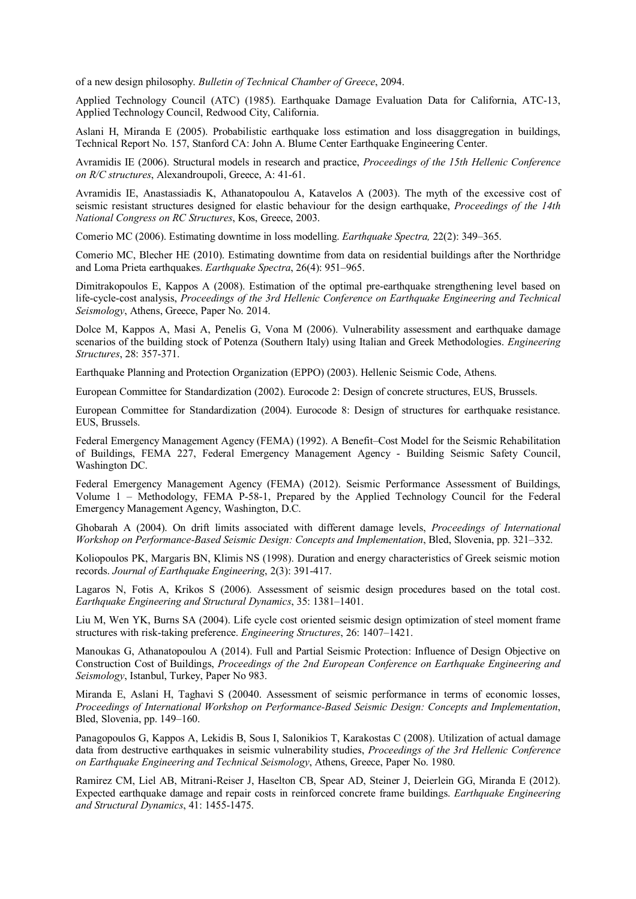of a new design philosophy. *Bulletin of Technical Chamber of Greece*, 2094.

Applied Technology Council (ATC) (1985). Earthquake Damage Evaluation Data for California, ATC-13, Applied Technology Council, Redwood City, California.

Aslani H, Miranda E (2005). Probabilistic earthquake loss estimation and loss disaggregation in buildings, Technical Report No. 157, Stanford CA: John A. Blume Center Earthquake Engineering Center.

Avramidis IE (2006). Structural models in research and practice, *Proceedings of the 15th Hellenic Conference on R/C structures*, Alexandroupoli, Greece, A: 41-61.

Avramidis IE, Anastassiadis K, Athanatopoulou A, Katavelos A (2003). The myth of the excessive cost of seismic resistant structures designed for elastic behaviour for the design earthquake, *Proceedings of the 14th National Congress on RC Structures*, Kos, Greece, 2003.

Comerio MC (2006). Estimating downtime in loss modelling. *Earthquake Spectra,* 22(2): 349–365.

Comerio MC, Blecher HE (2010). Estimating downtime from data on residential buildings after the Northridge and Loma Prieta earthquakes. *Earthquake Spectra*, 26(4): 951–965.

Dimitrakopoulos E, Kappos A (2008). Estimation of the optimal pre-earthquake strengthening level based on life-cycle-cost analysis, *Proceedings of the 3rd Hellenic Conference on Earthquake Engineering and Technical Seismology*, Athens, Greece, Paper Νο. 2014.

Dolce M, Kappos A, Masi A, Penelis G, Vona M (2006). Vulnerability assessment and earthquake damage scenarios of the building stock of Potenza (Southern Italy) using Italian and Greek Methodologies. *Engineering Structures*, 28: 357-371.

Earthquake Planning and Protection Organization (EPPO) (2003). Hellenic Seismic Code, Athens.

European Committee for Standardization (2002). Eurocode 2: Design of concrete structures, EUS, Brussels.

European Committee for Standardization (2004). Eurocode 8: Design of structures for earthquake resistance. EUS, Brussels.

Federal Emergency Management Agency (FEMA) (1992). A Benefit–Cost Model for the Seismic Rehabilitation of Buildings, FEMA 227, Federal Emergency Management Agency - Building Seismic Safety Council, Washington DC.

Federal Emergency Management Agency (FEMA) (2012). Seismic Performance Assessment of Buildings, Volume 1 – Methodology, FEMA P-58-1, Prepared by the Applied Technology Council for the Federal Emergency Management Agency, Washington, D.C.

Ghobarah A (2004). On drift limits associated with different damage levels, *Proceedings of International Workshop on Performance-Based Seismic Design: Concepts and Implementation*, Bled, Slovenia, pp. 321–332.

Koliopoulos PK, Margaris BN, Klimis NS (1998). Duration and energy characteristics of Greek seismic motion records. *Journal of Earthquake Engineering*, 2(3): 391-417.

Lagaros N, Fotis A, Krikos S (2006). Assessment of seismic design procedures based on the total cost. *Earthquake Engineering and Structural Dynamics*, 35: 1381–1401.

Liu M, Wen YK, Burns SA (2004). Life cycle cost oriented seismic design optimization of steel moment frame structures with risk-taking preference. *Engineering Structures*, 26: 1407–1421.

Manoukas G, Athanatopoulou A (2014). Full and Partial Seismic Protection: Influence of Design Objective on Construction Cost of Buildings, *Proceedings of the 2nd European Conference on Earthquake Engineering and Seismology*, Istanbul, Turkey, Paper No 983.

Miranda E, Aslani H, Taghavi S (20040. Assessment of seismic performance in terms of economic losses, *Proceedings of International Workshop on Performance-Based Seismic Design: Concepts and Implementation*, Bled, Slovenia, pp. 149–160.

Panagopoulos G, Kappos A, Lekidis B, Sous I, Salonikios T, Karakostas C (2008). Utilization of actual damage data from destructive earthquakes in seismic vulnerability studies, *Proceedings of the 3rd Hellenic Conference on Earthquake Engineering and Technical Seismology*, Athens, Greece, Paper Νο. 1980.

Ramirez CM, Liel AB, Mitrani-Reiser J, Haselton CB, Spear AD, Steiner J, Deierlein GG, Miranda E (2012). Expected earthquake damage and repair costs in reinforced concrete frame buildings. *Earthquake Engineering and Structural Dynamics*, 41: 1455-1475.